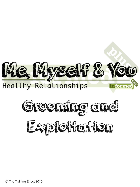



© The Training Effect 2015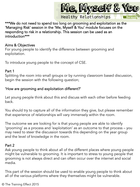

\*\*\*We do not need to spend too long on grooming and exploitation as the 'Managing Risk' session in the 'Me, Myself & You' module focuses on the responding to risk in a relationship. This session can be used as an introduction\*\*\*

### Aims & Objectives

For young people to identify the difference between grooming and exploitation.

To introduce young people to the concept of CSE.

### Part 1

Splitting the room into small groups or by running classroom based discussion, begin the session with the following question;

# 'How are grooming and exploitation different?'

Let young people think about this and discuss with each other before feeding back.

You should try to capture all of the information they give, but please remember that experience of relationships will vary immensely within the room.

The outcome we are looking for is that young people are able to identify 'grooming' as a process and 'exploitation' as an outcome to that process – you may need to steer the discussion towards this depending on the year group and the level of knowledge in the room.

## Part 2

Ask young people to think about all of the different places where young people might be vulnerable to grooming. It is important to stress to young people that grooming is not always direct and can often occur over the internet and social media.

This part of the session should be used to enable young people to think about all of the various platforms where they themselves might be vulnerable.

© The Training Effect 2015